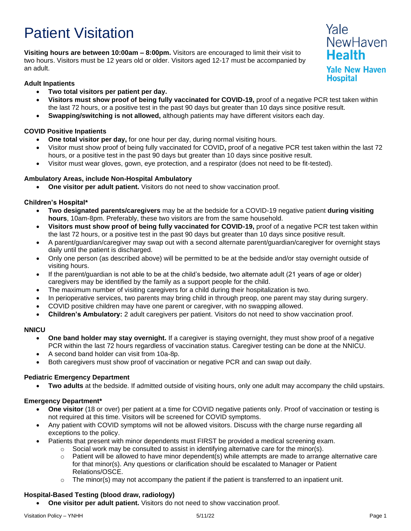# Patient Visitation

**Visiting hours are between 10:00am – 8:00pm.** Visitors are encouraged to limit their visit to two hours. Visitors must be 12 years old or older. Visitors aged 12-17 must be accompanied by an adult.

# **Adult Inpatients**

- **Two total visitors per patient per day.**
- **Visitors must show proof of being fully vaccinated for COVID-19,** proof of a negative PCR test taken within the last 72 hours, or a positive test in the past 90 days but greater than 10 days since positive result.
- **Swapping/switching is not allowed,** although patients may have different visitors each day.

# **COVID Positive Inpatients**

- **One total visitor per day,** for one hour per day, during normal visiting hours.
- Visitor must show proof of being fully vaccinated for COVID**,** proof of a negative PCR test taken within the last 72 hours, or a positive test in the past 90 days but greater than 10 days since positive result.
- Visitor must wear gloves, gown, eye protection, and a respirator (does not need to be fit-tested).

## **Ambulatory Areas, include Non-Hospital Ambulatory**

• **One visitor per adult patient.** Visitors do not need to show vaccination proof.

## **Children's Hospital\***

- **Two designated parents/caregivers** may be at the bedside for a COVID-19 negative patient **during visiting hours**, 10am-8pm. Preferably, these two visitors are from the same household.
- **Visitors must show proof of being fully vaccinated for COVID-19,** proof of a negative PCR test taken within the last 72 hours, or a positive test in the past 90 days but greater than 10 days since positive result.
- A parent/guardian/caregiver may swap out with a second alternate parent/guardian/caregiver for overnight stays daily until the patient is discharged.
- Only one person (as described above) will be permitted to be at the bedside and/or stay overnight outside of visiting hours.
- If the parent/guardian is not able to be at the child's bedside, two alternate adult (21 years of age or older) caregivers may be identified by the family as a support people for the child.
- The maximum number of visiting caregivers for a child during their hospitalization is two.
- In perioperative services, two parents may bring child in through preop, one parent may stay during surgery.
- COVID positive children may have one parent or caregiver, with no swapping allowed.
- **Children's Ambulatory:** 2 adult caregivers per patient. Visitors do not need to show vaccination proof.

## **NNICU**

- **One band holder may stay overnight.** If a caregiver is staying overnight, they must show proof of a negative PCR within the last 72 hours regardless of vaccination status. Caregiver testing can be done at the NNICU.
- A second band holder can visit from 10a-8p.
- Both caregivers must show proof of vaccination or negative PCR and can swap out daily.

## **Pediatric Emergency Department**

• **Two adults** at the bedside. If admitted outside of visiting hours, only one adult may accompany the child upstairs.

## **Emergency Department\***

- **One visitor** (18 or over) per patient at a time for COVID negative patients only. Proof of vaccination or testing is not required at this time. Visitors will be screened for COVID symptoms.
- Any patient with COVID symptoms will not be allowed visitors. Discuss with the charge nurse regarding all exceptions to the policy.
- Patients that present with minor dependents must FIRST be provided a medical screening exam.
	- $\circ$  Social work may be consulted to assist in identifying alternative care for the minor(s).
		- $\circ$  Patient will be allowed to have minor dependent(s) while attempts are made to arrange alternative care for that minor(s). Any questions or clarification should be escalated to Manager or Patient Relations/OSCE.
		- $\circ$  The minor(s) may not accompany the patient if the patient is transferred to an inpatient unit.

## **Hospital-Based Testing (blood draw, radiology)**

• **One visitor per adult patient.** Visitors do not need to show vaccination proof.

Yale

**Health** 

**Hospital** 

**NewHaven** 

**Yale New Haven**